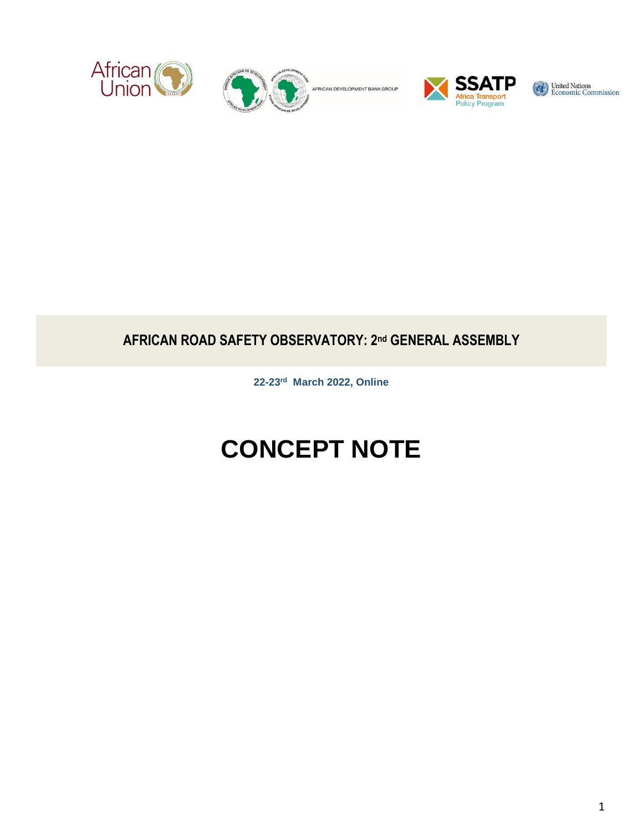



AFRICAN DEVELOPMENT BANK GROUP



United Nations<br>
Economic Commission

## **AFRICAN ROAD SAFETY OBSERVATORY: 2nd GENERAL ASSEMBLY**

**22-23rd March 2022, Online**

# **CONCEPT NOTE**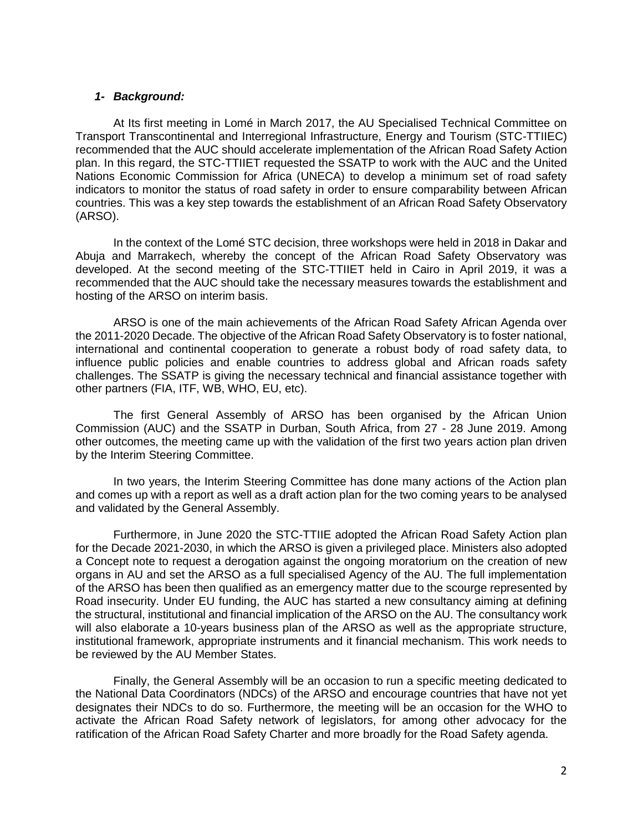#### *1- Background:*

At Its first meeting in Lomé in March 2017, the AU Specialised Technical Committee on Transport Transcontinental and Interregional Infrastructure, Energy and Tourism (STC-TTIIEC) recommended that the AUC should accelerate implementation of the African Road Safety Action plan. In this regard, the STC-TTIIET requested the SSATP to work with the AUC and the United Nations Economic Commission for Africa (UNECA) to develop a minimum set of road safety indicators to monitor the status of road safety in order to ensure comparability between African countries. This was a key step towards the establishment of an African Road Safety Observatory (ARSO).

In the context of the Lomé STC decision, three workshops were held in 2018 in Dakar and Abuja and Marrakech, whereby the concept of the African Road Safety Observatory was developed. At the second meeting of the STC-TTIIET held in Cairo in April 2019, it was a recommended that the AUC should take the necessary measures towards the establishment and hosting of the ARSO on interim basis.

ARSO is one of the main achievements of the African Road Safety African Agenda over the 2011-2020 Decade. The objective of the African Road Safety Observatory is to foster national, international and continental cooperation to generate a robust body of road safety data, to influence public policies and enable countries to address global and African roads safety challenges. The SSATP is giving the necessary technical and financial assistance together with other partners (FIA, ITF, WB, WHO, EU, etc).

The first General Assembly of ARSO has been organised by the African Union Commission (AUC) and the SSATP in Durban, South Africa, from 27 - 28 June 2019. Among other outcomes, the meeting came up with the validation of the first two years action plan driven by the Interim Steering Committee.

In two years, the Interim Steering Committee has done many actions of the Action plan and comes up with a report as well as a draft action plan for the two coming years to be analysed and validated by the General Assembly.

Furthermore, in June 2020 the STC-TTIIE adopted the African Road Safety Action plan for the Decade 2021-2030, in which the ARSO is given a privileged place. Ministers also adopted a Concept note to request a derogation against the ongoing moratorium on the creation of new organs in AU and set the ARSO as a full specialised Agency of the AU. The full implementation of the ARSO has been then qualified as an emergency matter due to the scourge represented by Road insecurity. Under EU funding, the AUC has started a new consultancy aiming at defining the structural, institutional and financial implication of the ARSO on the AU. The consultancy work will also elaborate a 10-years business plan of the ARSO as well as the appropriate structure, institutional framework, appropriate instruments and it financial mechanism. This work needs to be reviewed by the AU Member States.

Finally, the General Assembly will be an occasion to run a specific meeting dedicated to the National Data Coordinators (NDCs) of the ARSO and encourage countries that have not yet designates their NDCs to do so. Furthermore, the meeting will be an occasion for the WHO to activate the African Road Safety network of legislators, for among other advocacy for the ratification of the African Road Safety Charter and more broadly for the Road Safety agenda.